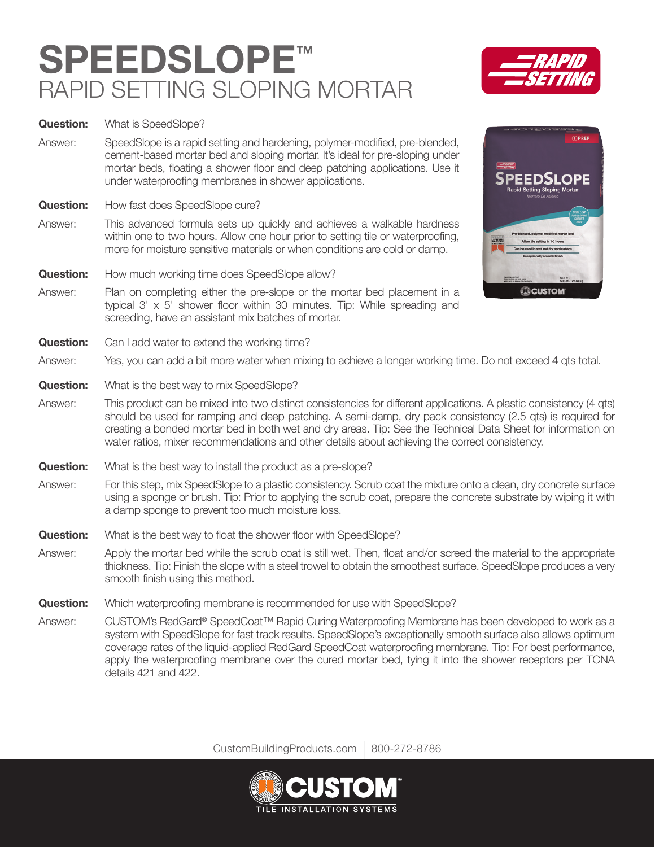## **SPEEDSLOPE™** RAPID SETTING SLOPING MORTAR



**Question:** What is SpeedSlope?

Answer: SpeedSlope is a rapid setting and hardening, polymer-modified, pre-blended, cement-based mortar bed and sloping mortar. It's ideal for pre-sloping under mortar beds, floating a shower floor and deep patching applications. Use it under waterproofing membranes in shower applications.

**Question:** How fast does SpeedSlope cure?

- Answer: This advanced formula sets up quickly and achieves a walkable hardness within one to two hours. Allow one hour prior to setting tile or waterproofing, more for moisture sensitive materials or when conditions are cold or damp.
- **Question:** How much working time does SpeedSlope allow?
- Answer: Plan on completing either the pre-slope or the mortar bed placement in a typical 3' x 5' shower floor within 30 minutes. Tip: While spreading and screeding, have an assistant mix batches of mortar.
- **Question:** Can I add water to extend the working time?



- Answer: Yes, you can add a bit more water when mixing to achieve a longer working time. Do not exceed 4 qts total.
- **Question:** What is the best way to mix SpeedSlope?
- Answer: This product can be mixed into two distinct consistencies for different applications. A plastic consistency (4 qts) should be used for ramping and deep patching. A semi-damp, dry pack consistency (2.5 qts) is required for creating a bonded mortar bed in both wet and dry areas. Tip: See the Technical Data Sheet for information on water ratios, mixer recommendations and other details about achieving the correct consistency.
- **Question:** What is the best way to install the product as a pre-slope?
- Answer: For this step, mix SpeedSlope to a plastic consistency. Scrub coat the mixture onto a clean, dry concrete surface using a sponge or brush. Tip: Prior to applying the scrub coat, prepare the concrete substrate by wiping it with a damp sponge to prevent too much moisture loss.
- **Question:** What is the best way to float the shower floor with SpeedSlope?
- Answer: Apply the mortar bed while the scrub coat is still wet. Then, float and/or screed the material to the appropriate thickness. Tip: Finish the slope with a steel trowel to obtain the smoothest surface. SpeedSlope produces a very smooth finish using this method.
- **Question:** Which waterproofing membrane is recommended for use with SpeedSlope?
- Answer: CUSTOM's RedGard® SpeedCoat™ Rapid Curing Waterproofing Membrane has been developed to work as a system with SpeedSlope for fast track results. SpeedSlope's exceptionally smooth surface also allows optimum coverage rates of the liquid-applied RedGard SpeedCoat waterproofing membrane. Tip: For best performance, apply the waterproofing membrane over the cured mortar bed, tying it into the shower receptors per TCNA details 421 and 422.

CustomBuildingProducts.com | 800-272-8786